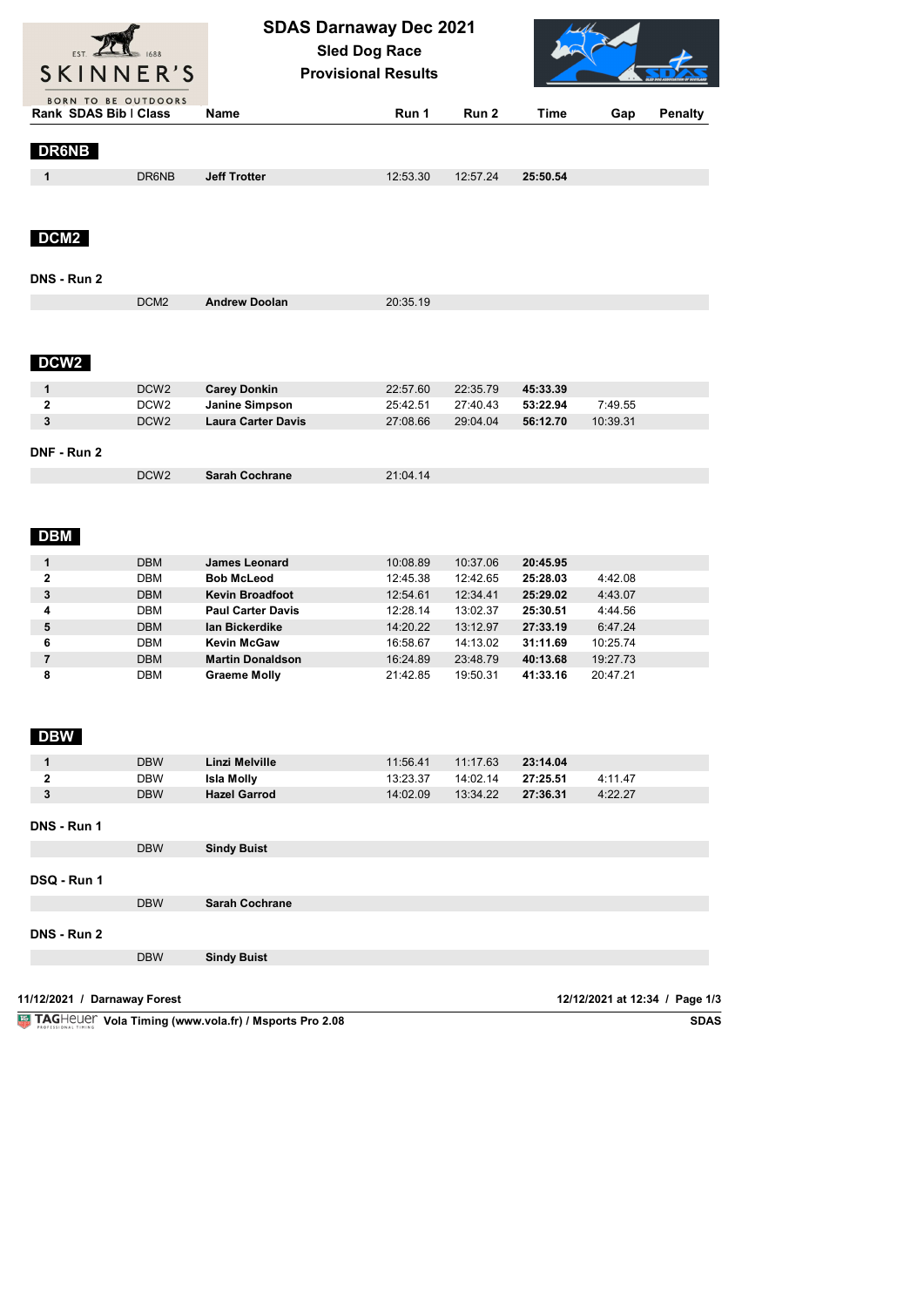| <b>BORN TO BE OUTDOORS</b><br>Rank SDAS Bib   Class<br>Run <sub>2</sub><br><b>Time</b><br><b>Name</b><br>Run 1<br>Gap<br><b>Penalty</b><br><b>DR6NB</b><br>1<br>DR6NB<br><b>Jeff Trotter</b><br>12:53.30<br>25:50.54<br>12:57.24<br>DCM <sub>2</sub><br>DNS - Run 2<br>DCM <sub>2</sub><br><b>Andrew Doolan</b><br>20:35.19<br>DCW <sub>2</sub><br><b>Carey Donkin</b><br>1<br>DCW <sub>2</sub><br>22:57.60<br>22:35.79<br>45:33.39<br>2<br>DCW <sub>2</sub><br>27:40.43<br>53:22.94<br>7:49.55<br>Janine Simpson<br>25:42.51<br>3<br>DCW <sub>2</sub><br><b>Laura Carter Davis</b><br>10:39.31<br>27:08.66<br>29:04.04<br>56:12.70<br>DNF - Run 2<br>DCW <sub>2</sub><br><b>Sarah Cochrane</b><br>21:04.14<br><b>DBM</b><br><b>DBM</b><br>1<br><b>James Leonard</b><br>10:08.89<br>10:37.06<br>20:45.95<br><b>DBM</b><br>$\mathbf{2}$<br><b>Bob McLeod</b><br>12:45.38<br>12:42.65<br>25:28.03<br>4:42.08<br>3<br><b>DBM</b><br><b>Kevin Broadfoot</b><br>12:54.61<br>12:34.41<br>25:29.02<br>4:43.07<br>DBM<br><b>Paul Carter Davis</b><br>4<br>12:28.14<br>13:02.37<br>25:30.51<br>4:44.56<br>5<br><b>DBM</b><br>lan Bickerdike<br>14:20.22<br>13:12.97<br>27:33.19<br>6:47.24<br>6<br>DBM<br><b>Kevin McGaw</b><br>14:13.02<br>16:58.67<br>31:11.69<br>10:25.74<br>$\overline{7}$<br><b>DBM</b><br><b>Martin Donaldson</b><br>16:24.89<br>23:48.79<br>19:27.73<br>40:13.68<br>8<br><b>Graeme Molly</b><br>19:50.31<br>20:47.21<br>DBM<br>21:42.85<br>41:33.16<br><b>DBW</b><br><b>DBW</b><br>1<br>Linzi Melville<br>11:56.41<br>11:17.63<br>23:14.04<br>$\mathbf{2}$<br>DBW<br>14:02.14<br>27:25.51<br>4:11.47<br><b>Isla Molly</b><br>13:23.37<br>$\mathbf{3}$<br><b>Hazel Garrod</b><br>14:02.09<br>27:36.31<br>4:22.27<br><b>DBW</b><br>13:34.22<br>DNS - Run 1<br><b>DBW</b><br><b>Sindy Buist</b><br>DSQ - Run 1<br><b>DBW</b><br><b>Sarah Cochrane</b><br>DNS - Run 2<br><b>DBW</b><br><b>Sindy Buist</b> | SKINNER'S |  | <b>SDAS Darnaway Dec 2021</b><br><b>Sled Dog Race</b><br><b>Provisional Results</b> |  |  |  |  |  |
|---------------------------------------------------------------------------------------------------------------------------------------------------------------------------------------------------------------------------------------------------------------------------------------------------------------------------------------------------------------------------------------------------------------------------------------------------------------------------------------------------------------------------------------------------------------------------------------------------------------------------------------------------------------------------------------------------------------------------------------------------------------------------------------------------------------------------------------------------------------------------------------------------------------------------------------------------------------------------------------------------------------------------------------------------------------------------------------------------------------------------------------------------------------------------------------------------------------------------------------------------------------------------------------------------------------------------------------------------------------------------------------------------------------------------------------------------------------------------------------------------------------------------------------------------------------------------------------------------------------------------------------------------------------------------------------------------------------------------------------------------------------------------------------------------------------------------------------------------------------------------------------------------------------------|-----------|--|-------------------------------------------------------------------------------------|--|--|--|--|--|
|                                                                                                                                                                                                                                                                                                                                                                                                                                                                                                                                                                                                                                                                                                                                                                                                                                                                                                                                                                                                                                                                                                                                                                                                                                                                                                                                                                                                                                                                                                                                                                                                                                                                                                                                                                                                                                                                                                                     |           |  |                                                                                     |  |  |  |  |  |
|                                                                                                                                                                                                                                                                                                                                                                                                                                                                                                                                                                                                                                                                                                                                                                                                                                                                                                                                                                                                                                                                                                                                                                                                                                                                                                                                                                                                                                                                                                                                                                                                                                                                                                                                                                                                                                                                                                                     |           |  |                                                                                     |  |  |  |  |  |
|                                                                                                                                                                                                                                                                                                                                                                                                                                                                                                                                                                                                                                                                                                                                                                                                                                                                                                                                                                                                                                                                                                                                                                                                                                                                                                                                                                                                                                                                                                                                                                                                                                                                                                                                                                                                                                                                                                                     |           |  |                                                                                     |  |  |  |  |  |
|                                                                                                                                                                                                                                                                                                                                                                                                                                                                                                                                                                                                                                                                                                                                                                                                                                                                                                                                                                                                                                                                                                                                                                                                                                                                                                                                                                                                                                                                                                                                                                                                                                                                                                                                                                                                                                                                                                                     |           |  |                                                                                     |  |  |  |  |  |
|                                                                                                                                                                                                                                                                                                                                                                                                                                                                                                                                                                                                                                                                                                                                                                                                                                                                                                                                                                                                                                                                                                                                                                                                                                                                                                                                                                                                                                                                                                                                                                                                                                                                                                                                                                                                                                                                                                                     |           |  |                                                                                     |  |  |  |  |  |
|                                                                                                                                                                                                                                                                                                                                                                                                                                                                                                                                                                                                                                                                                                                                                                                                                                                                                                                                                                                                                                                                                                                                                                                                                                                                                                                                                                                                                                                                                                                                                                                                                                                                                                                                                                                                                                                                                                                     |           |  |                                                                                     |  |  |  |  |  |
|                                                                                                                                                                                                                                                                                                                                                                                                                                                                                                                                                                                                                                                                                                                                                                                                                                                                                                                                                                                                                                                                                                                                                                                                                                                                                                                                                                                                                                                                                                                                                                                                                                                                                                                                                                                                                                                                                                                     |           |  |                                                                                     |  |  |  |  |  |
|                                                                                                                                                                                                                                                                                                                                                                                                                                                                                                                                                                                                                                                                                                                                                                                                                                                                                                                                                                                                                                                                                                                                                                                                                                                                                                                                                                                                                                                                                                                                                                                                                                                                                                                                                                                                                                                                                                                     |           |  |                                                                                     |  |  |  |  |  |
|                                                                                                                                                                                                                                                                                                                                                                                                                                                                                                                                                                                                                                                                                                                                                                                                                                                                                                                                                                                                                                                                                                                                                                                                                                                                                                                                                                                                                                                                                                                                                                                                                                                                                                                                                                                                                                                                                                                     |           |  |                                                                                     |  |  |  |  |  |
|                                                                                                                                                                                                                                                                                                                                                                                                                                                                                                                                                                                                                                                                                                                                                                                                                                                                                                                                                                                                                                                                                                                                                                                                                                                                                                                                                                                                                                                                                                                                                                                                                                                                                                                                                                                                                                                                                                                     |           |  |                                                                                     |  |  |  |  |  |
|                                                                                                                                                                                                                                                                                                                                                                                                                                                                                                                                                                                                                                                                                                                                                                                                                                                                                                                                                                                                                                                                                                                                                                                                                                                                                                                                                                                                                                                                                                                                                                                                                                                                                                                                                                                                                                                                                                                     |           |  |                                                                                     |  |  |  |  |  |
|                                                                                                                                                                                                                                                                                                                                                                                                                                                                                                                                                                                                                                                                                                                                                                                                                                                                                                                                                                                                                                                                                                                                                                                                                                                                                                                                                                                                                                                                                                                                                                                                                                                                                                                                                                                                                                                                                                                     |           |  |                                                                                     |  |  |  |  |  |
|                                                                                                                                                                                                                                                                                                                                                                                                                                                                                                                                                                                                                                                                                                                                                                                                                                                                                                                                                                                                                                                                                                                                                                                                                                                                                                                                                                                                                                                                                                                                                                                                                                                                                                                                                                                                                                                                                                                     |           |  |                                                                                     |  |  |  |  |  |
|                                                                                                                                                                                                                                                                                                                                                                                                                                                                                                                                                                                                                                                                                                                                                                                                                                                                                                                                                                                                                                                                                                                                                                                                                                                                                                                                                                                                                                                                                                                                                                                                                                                                                                                                                                                                                                                                                                                     |           |  |                                                                                     |  |  |  |  |  |
|                                                                                                                                                                                                                                                                                                                                                                                                                                                                                                                                                                                                                                                                                                                                                                                                                                                                                                                                                                                                                                                                                                                                                                                                                                                                                                                                                                                                                                                                                                                                                                                                                                                                                                                                                                                                                                                                                                                     |           |  |                                                                                     |  |  |  |  |  |
|                                                                                                                                                                                                                                                                                                                                                                                                                                                                                                                                                                                                                                                                                                                                                                                                                                                                                                                                                                                                                                                                                                                                                                                                                                                                                                                                                                                                                                                                                                                                                                                                                                                                                                                                                                                                                                                                                                                     |           |  |                                                                                     |  |  |  |  |  |
|                                                                                                                                                                                                                                                                                                                                                                                                                                                                                                                                                                                                                                                                                                                                                                                                                                                                                                                                                                                                                                                                                                                                                                                                                                                                                                                                                                                                                                                                                                                                                                                                                                                                                                                                                                                                                                                                                                                     |           |  |                                                                                     |  |  |  |  |  |
|                                                                                                                                                                                                                                                                                                                                                                                                                                                                                                                                                                                                                                                                                                                                                                                                                                                                                                                                                                                                                                                                                                                                                                                                                                                                                                                                                                                                                                                                                                                                                                                                                                                                                                                                                                                                                                                                                                                     |           |  |                                                                                     |  |  |  |  |  |
|                                                                                                                                                                                                                                                                                                                                                                                                                                                                                                                                                                                                                                                                                                                                                                                                                                                                                                                                                                                                                                                                                                                                                                                                                                                                                                                                                                                                                                                                                                                                                                                                                                                                                                                                                                                                                                                                                                                     |           |  |                                                                                     |  |  |  |  |  |
|                                                                                                                                                                                                                                                                                                                                                                                                                                                                                                                                                                                                                                                                                                                                                                                                                                                                                                                                                                                                                                                                                                                                                                                                                                                                                                                                                                                                                                                                                                                                                                                                                                                                                                                                                                                                                                                                                                                     |           |  |                                                                                     |  |  |  |  |  |
|                                                                                                                                                                                                                                                                                                                                                                                                                                                                                                                                                                                                                                                                                                                                                                                                                                                                                                                                                                                                                                                                                                                                                                                                                                                                                                                                                                                                                                                                                                                                                                                                                                                                                                                                                                                                                                                                                                                     |           |  |                                                                                     |  |  |  |  |  |
|                                                                                                                                                                                                                                                                                                                                                                                                                                                                                                                                                                                                                                                                                                                                                                                                                                                                                                                                                                                                                                                                                                                                                                                                                                                                                                                                                                                                                                                                                                                                                                                                                                                                                                                                                                                                                                                                                                                     |           |  |                                                                                     |  |  |  |  |  |
|                                                                                                                                                                                                                                                                                                                                                                                                                                                                                                                                                                                                                                                                                                                                                                                                                                                                                                                                                                                                                                                                                                                                                                                                                                                                                                                                                                                                                                                                                                                                                                                                                                                                                                                                                                                                                                                                                                                     |           |  |                                                                                     |  |  |  |  |  |
|                                                                                                                                                                                                                                                                                                                                                                                                                                                                                                                                                                                                                                                                                                                                                                                                                                                                                                                                                                                                                                                                                                                                                                                                                                                                                                                                                                                                                                                                                                                                                                                                                                                                                                                                                                                                                                                                                                                     |           |  |                                                                                     |  |  |  |  |  |
|                                                                                                                                                                                                                                                                                                                                                                                                                                                                                                                                                                                                                                                                                                                                                                                                                                                                                                                                                                                                                                                                                                                                                                                                                                                                                                                                                                                                                                                                                                                                                                                                                                                                                                                                                                                                                                                                                                                     |           |  |                                                                                     |  |  |  |  |  |
|                                                                                                                                                                                                                                                                                                                                                                                                                                                                                                                                                                                                                                                                                                                                                                                                                                                                                                                                                                                                                                                                                                                                                                                                                                                                                                                                                                                                                                                                                                                                                                                                                                                                                                                                                                                                                                                                                                                     |           |  |                                                                                     |  |  |  |  |  |
|                                                                                                                                                                                                                                                                                                                                                                                                                                                                                                                                                                                                                                                                                                                                                                                                                                                                                                                                                                                                                                                                                                                                                                                                                                                                                                                                                                                                                                                                                                                                                                                                                                                                                                                                                                                                                                                                                                                     |           |  |                                                                                     |  |  |  |  |  |
|                                                                                                                                                                                                                                                                                                                                                                                                                                                                                                                                                                                                                                                                                                                                                                                                                                                                                                                                                                                                                                                                                                                                                                                                                                                                                                                                                                                                                                                                                                                                                                                                                                                                                                                                                                                                                                                                                                                     |           |  |                                                                                     |  |  |  |  |  |
|                                                                                                                                                                                                                                                                                                                                                                                                                                                                                                                                                                                                                                                                                                                                                                                                                                                                                                                                                                                                                                                                                                                                                                                                                                                                                                                                                                                                                                                                                                                                                                                                                                                                                                                                                                                                                                                                                                                     |           |  |                                                                                     |  |  |  |  |  |

**VolaSoftControlPdf 11/12/2021 / Darnaway Forest 12/12/2021 at 12:34 / Page 1/3**

**Vola Timing (www.vola.fr) / Msports Pro 2.08 SDAS SDAS**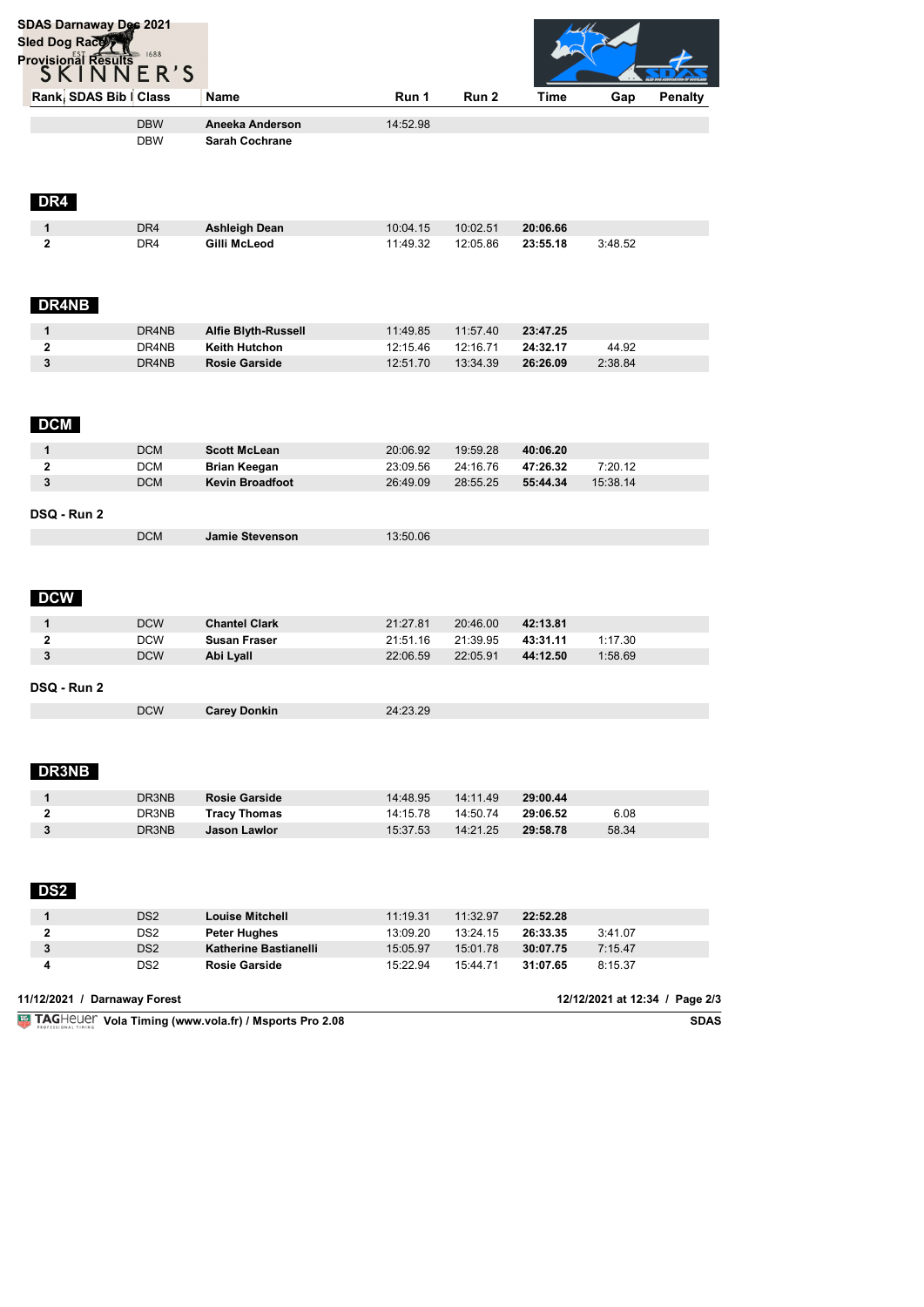| <b>SDAS Darnaway Dec 2021</b><br><b>Sled Dog Races</b> |                                    |                                                       |                      |                      |                      |                     |                                |
|--------------------------------------------------------|------------------------------------|-------------------------------------------------------|----------------------|----------------------|----------------------|---------------------|--------------------------------|
| <b>Provisional Results</b> 1688<br>S K I N N E R ' S   |                                    |                                                       |                      |                      |                      |                     |                                |
| Rank: SDAS Bib   Class                                 |                                    | <b>Name</b>                                           | Run 1                | Run 2                | Time                 | Gap                 | <b>Penalty</b>                 |
|                                                        | <b>DBW</b>                         | Aneeka Anderson                                       | 14:52.98             |                      |                      |                     |                                |
|                                                        | <b>DBW</b>                         | <b>Sarah Cochrane</b>                                 |                      |                      |                      |                     |                                |
| DR4                                                    |                                    |                                                       |                      |                      |                      |                     |                                |
| 1                                                      | DR4                                | Ashleigh Dean                                         | 10:04.15             | 10:02.51             | 20:06.66             |                     |                                |
| 2                                                      | DR4                                | Gilli McLeod                                          | 11:49.32             | 12:05.86             | 23:55.18             | 3:48.52             |                                |
| DR4NB                                                  |                                    |                                                       |                      |                      |                      |                     |                                |
| 1                                                      | DR4NB                              | Alfie Blyth-Russell                                   | 11:49.85             | 11:57.40             | 23:47.25             |                     |                                |
| 2                                                      | DR4NB                              | Keith Hutchon                                         | 12:15.46             | 12:16.71             | 24:32.17             | 44.92               |                                |
| 3                                                      | DR4NB                              | <b>Rosie Garside</b>                                  | 12:51.70             | 13:34.39             | 26:26.09             | 2:38.84             |                                |
| <b>DCM</b>                                             |                                    |                                                       |                      |                      |                      |                     |                                |
| 1                                                      | <b>DCM</b>                         | <b>Scott McLean</b>                                   | 20:06.92             | 19:59.28             | 40:06.20             |                     |                                |
| 2<br>3                                                 | <b>DCM</b><br><b>DCM</b>           | <b>Brian Keegan</b><br><b>Kevin Broadfoot</b>         | 23:09.56<br>26:49.09 | 24:16.76<br>28:55.25 | 47:26.32<br>55:44.34 | 7:20.12<br>15:38.14 |                                |
| DSQ - Run 2                                            | <b>DCM</b>                         | <b>Jamie Stevenson</b>                                | 13:50.06             |                      |                      |                     |                                |
| <b>DCW</b>                                             |                                    |                                                       |                      |                      |                      |                     |                                |
| 1                                                      | <b>DCW</b>                         | <b>Chantel Clark</b>                                  | 21:27.81             | 20:46.00             | 42:13.81             |                     |                                |
| 2                                                      | <b>DCW</b>                         | <b>Susan Fraser</b>                                   | 21:51.16             | 21:39.95             | 43:31.11             | 1:17.30             |                                |
| 3<br>DSQ - Run 2                                       | <b>DCW</b>                         | Abi Lyall                                             | 22:06.59             | 22:05.91             | 44:12.50             | 1:58.69             |                                |
|                                                        | <b>DCW</b>                         | <b>Carey Donkin</b>                                   | 24:23.29             |                      |                      |                     |                                |
| <b>DR3NB</b>                                           |                                    |                                                       |                      |                      |                      |                     |                                |
| 1                                                      | DR3NB                              | <b>Rosie Garside</b>                                  | 14:48.95             | 14:11.49             | 29:00.44             |                     |                                |
| 2                                                      | DR3NB                              | <b>Tracy Thomas</b>                                   | 14:15.78             | 14:50.74             | 29:06.52             | 6.08                |                                |
| 3                                                      | DR3NB                              | <b>Jason Lawlor</b>                                   | 15:37.53             | 14:21.25             | 29:58.78             | 58.34               |                                |
| <b>DS2</b>                                             |                                    |                                                       |                      |                      |                      |                     |                                |
| 1<br>2                                                 | DS <sub>2</sub><br>DS <sub>2</sub> | <b>Louise Mitchell</b>                                | 11:19.31             | 11:32.97             | 22:52.28             |                     |                                |
| 3                                                      | DS <sub>2</sub>                    | <b>Peter Hughes</b><br>Katherine Bastianelli          | 13:09.20<br>15:05.97 | 13:24.15<br>15:01.78 | 26:33.35<br>30:07.75 | 3:41.07<br>7:15.47  |                                |
| 4                                                      | DS <sub>2</sub>                    | <b>Rosie Garside</b>                                  | 15:22.94             | 15:44.71             | 31:07.65             | 8:15.37             |                                |
| 11/12/2021 / Darnaway Forest                           |                                    |                                                       |                      |                      |                      |                     | 12/12/2021 at 12:34 / Page 2/3 |
|                                                        |                                    | TAGHeuer Vola Timing (www.vola.fr) / Msports Pro 2.08 |                      |                      |                      |                     | <b>SDAS</b>                    |